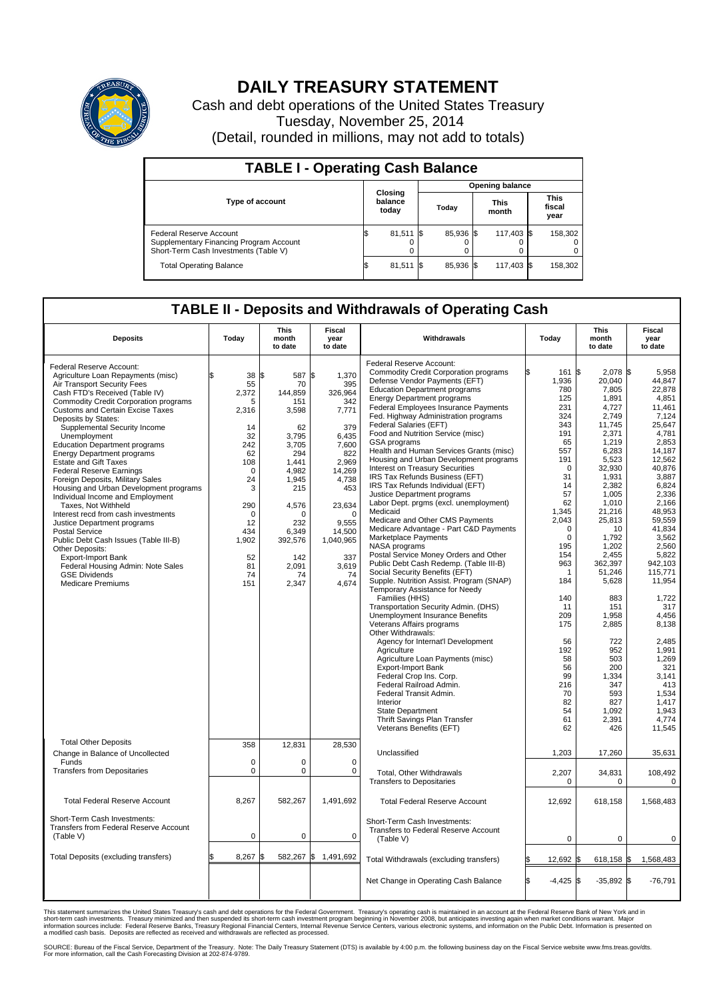

## **DAILY TREASURY STATEMENT**

Cash and debt operations of the United States Treasury Tuesday, November 25, 2014 (Detail, rounded in millions, may not add to totals)

| <b>TABLE I - Operating Cash Balance</b>                                                                     |                        |                             |      |           |  |                      |  |                               |  |
|-------------------------------------------------------------------------------------------------------------|------------------------|-----------------------------|------|-----------|--|----------------------|--|-------------------------------|--|
|                                                                                                             | <b>Opening balance</b> |                             |      |           |  |                      |  |                               |  |
| <b>Type of account</b>                                                                                      |                        | Closing<br>balance<br>today |      | Today     |  | <b>This</b><br>month |  | <b>This</b><br>fiscal<br>year |  |
| Federal Reserve Account<br>Supplementary Financing Program Account<br>Short-Term Cash Investments (Table V) |                        | 81,511                      | - IS | 85.936 \$ |  | 117.403 \$           |  | 158,302                       |  |
| <b>Total Operating Balance</b>                                                                              | 12.                    | 81,511                      |      | 85,936 \$ |  | 117,403 \$           |  | 158,302                       |  |

## **TABLE II - Deposits and Withdrawals of Operating Cash**

| <b>Deposits</b>                                                                                                                                                                                                                                                                                                                                                                                                                                                                                                                                                                                                                                                                                                                                                                                                                                                             | Today                                                                                                                                                          | <b>This</b><br>month<br>to date                                                                                                                                                                | <b>Fiscal</b><br>year<br>to date                                                                                                                                                                   | Withdrawals                                                                                                                                                                                                                                                                                                                                                                                                                                                                                                                                                                                                                                                                                                                                                                                                                                                                                                                                                                                                                                                                                                                                                                                                                                                                                         | Today                                                                                                                                                                                                                                                     | <b>This</b><br>month<br>to date                                                                                                                                                                                                                                                                                            | Fiscal<br>year<br>to date                                                                                                                                                                                                                                                                                                        |
|-----------------------------------------------------------------------------------------------------------------------------------------------------------------------------------------------------------------------------------------------------------------------------------------------------------------------------------------------------------------------------------------------------------------------------------------------------------------------------------------------------------------------------------------------------------------------------------------------------------------------------------------------------------------------------------------------------------------------------------------------------------------------------------------------------------------------------------------------------------------------------|----------------------------------------------------------------------------------------------------------------------------------------------------------------|------------------------------------------------------------------------------------------------------------------------------------------------------------------------------------------------|----------------------------------------------------------------------------------------------------------------------------------------------------------------------------------------------------|-----------------------------------------------------------------------------------------------------------------------------------------------------------------------------------------------------------------------------------------------------------------------------------------------------------------------------------------------------------------------------------------------------------------------------------------------------------------------------------------------------------------------------------------------------------------------------------------------------------------------------------------------------------------------------------------------------------------------------------------------------------------------------------------------------------------------------------------------------------------------------------------------------------------------------------------------------------------------------------------------------------------------------------------------------------------------------------------------------------------------------------------------------------------------------------------------------------------------------------------------------------------------------------------------------|-----------------------------------------------------------------------------------------------------------------------------------------------------------------------------------------------------------------------------------------------------------|----------------------------------------------------------------------------------------------------------------------------------------------------------------------------------------------------------------------------------------------------------------------------------------------------------------------------|----------------------------------------------------------------------------------------------------------------------------------------------------------------------------------------------------------------------------------------------------------------------------------------------------------------------------------|
| Federal Reserve Account:<br>Agriculture Loan Repayments (misc)<br>Air Transport Security Fees<br>Cash FTD's Received (Table IV)<br><b>Commodity Credit Corporation programs</b><br><b>Customs and Certain Excise Taxes</b><br>Deposits by States:<br>Supplemental Security Income<br>Unemployment<br><b>Education Department programs</b><br><b>Energy Department programs</b><br><b>Estate and Gift Taxes</b><br><b>Federal Reserve Earnings</b><br>Foreign Deposits, Military Sales<br>Housing and Urban Development programs<br>Individual Income and Employment<br>Taxes. Not Withheld<br>Interest recd from cash investments<br>Justice Department programs<br><b>Postal Service</b><br>Public Debt Cash Issues (Table III-B)<br><b>Other Deposits:</b><br>Export-Import Bank<br>Federal Housing Admin: Note Sales<br><b>GSE Dividends</b><br><b>Medicare Premiums</b> | 38<br>55<br>2.372<br>5<br>2,316<br>14<br>32<br>242<br>62<br>108<br>$\mathbf 0$<br>24<br>3<br>290<br>$\mathbf 0$<br>12<br>434<br>1,902<br>52<br>81<br>74<br>151 | 587 \$<br>l\$<br>70<br>144.859<br>151<br>3,598<br>62<br>3,795<br>3,705<br>294<br>1,441<br>4,982<br>1,945<br>215<br>4,576<br>$\Omega$<br>232<br>6,349<br>392,576<br>142<br>2,091<br>74<br>2,347 | 1,370<br>395<br>326.964<br>342<br>7,771<br>379<br>6,435<br>7,600<br>822<br>2,969<br>14,269<br>4,738<br>453<br>23,634<br>$\mathbf 0$<br>9,555<br>14,500<br>1,040,965<br>337<br>3,619<br>74<br>4,674 | Federal Reserve Account:<br><b>Commodity Credit Corporation programs</b><br>Defense Vendor Payments (EFT)<br><b>Education Department programs</b><br><b>Energy Department programs</b><br><b>Federal Employees Insurance Payments</b><br>Fed. Highway Administration programs<br>Federal Salaries (EFT)<br>Food and Nutrition Service (misc)<br>GSA programs<br>Health and Human Services Grants (misc)<br>Housing and Urban Development programs<br>Interest on Treasury Securities<br>IRS Tax Refunds Business (EFT)<br>IRS Tax Refunds Individual (EFT)<br>Justice Department programs<br>Labor Dept. prgms (excl. unemployment)<br>Medicaid<br>Medicare and Other CMS Payments<br>Medicare Advantage - Part C&D Payments<br>Marketplace Payments<br>NASA programs<br>Postal Service Money Orders and Other<br>Public Debt Cash Redemp. (Table III-B)<br>Social Security Benefits (EFT)<br>Supple. Nutrition Assist. Program (SNAP)<br>Temporary Assistance for Needy<br>Families (HHS)<br>Transportation Security Admin. (DHS)<br>Unemployment Insurance Benefits<br>Veterans Affairs programs<br>Other Withdrawals:<br>Agency for Internat'l Development<br>Agriculture<br>Agriculture Loan Payments (misc)<br><b>Export-Import Bank</b><br>Federal Crop Ins. Corp.<br>Federal Railroad Admin. | 161<br>1,936<br>780<br>125<br>231<br>324<br>343<br>191<br>65<br>557<br>191<br>$\mathbf 0$<br>31<br>14<br>57<br>62<br>1,345<br>2,043<br>$\mathbf 0$<br>0<br>195<br>154<br>963<br>1<br>184<br>140<br>11<br>209<br>175<br>56<br>192<br>58<br>56<br>99<br>216 | l\$<br>$2,078$ \$<br>20.040<br>7,805<br>1.891<br>4,727<br>2.749<br>11,745<br>2.371<br>1,219<br>6,283<br>5,523<br>32,930<br>1,931<br>2,382<br>1.005<br>1,010<br>21,216<br>25,813<br>10<br>1,792<br>1.202<br>2,455<br>362,397<br>51,246<br>5,628<br>883<br>151<br>1,958<br>2,885<br>722<br>952<br>503<br>200<br>1,334<br>347 | 5,958<br>44.847<br>22,878<br>4.851<br>11,461<br>7,124<br>25.647<br>4.781<br>2,853<br>14,187<br>12,562<br>40,876<br>3,887<br>6,824<br>2,336<br>2,166<br>48,953<br>59,559<br>41.834<br>3,562<br>2.560<br>5,822<br>942.103<br>115,771<br>11,954<br>1,722<br>317<br>4,456<br>8,138<br>2.485<br>1,991<br>1.269<br>321<br>3.141<br>413 |
| <b>Total Other Deposits</b>                                                                                                                                                                                                                                                                                                                                                                                                                                                                                                                                                                                                                                                                                                                                                                                                                                                 | 358                                                                                                                                                            | 12,831                                                                                                                                                                                         | 28,530                                                                                                                                                                                             | Federal Transit Admin.<br>Interior<br><b>State Department</b><br>Thrift Savings Plan Transfer<br>Veterans Benefits (EFT)                                                                                                                                                                                                                                                                                                                                                                                                                                                                                                                                                                                                                                                                                                                                                                                                                                                                                                                                                                                                                                                                                                                                                                            | 70<br>82<br>54<br>61<br>62                                                                                                                                                                                                                                | 593<br>827<br>1.092<br>2,391<br>426                                                                                                                                                                                                                                                                                        | 1.534<br>1,417<br>1.943<br>4,774<br>11,545                                                                                                                                                                                                                                                                                       |
| Change in Balance of Uncollected<br>Funds                                                                                                                                                                                                                                                                                                                                                                                                                                                                                                                                                                                                                                                                                                                                                                                                                                   | $\mathbf 0$                                                                                                                                                    | 0                                                                                                                                                                                              | $\mathbf 0$                                                                                                                                                                                        | Unclassified                                                                                                                                                                                                                                                                                                                                                                                                                                                                                                                                                                                                                                                                                                                                                                                                                                                                                                                                                                                                                                                                                                                                                                                                                                                                                        | 1,203                                                                                                                                                                                                                                                     | 17,260                                                                                                                                                                                                                                                                                                                     | 35,631                                                                                                                                                                                                                                                                                                                           |
| <b>Transfers from Depositaries</b>                                                                                                                                                                                                                                                                                                                                                                                                                                                                                                                                                                                                                                                                                                                                                                                                                                          | $\pmb{0}$                                                                                                                                                      | 0                                                                                                                                                                                              | $\mathbf 0$                                                                                                                                                                                        | <b>Total. Other Withdrawals</b><br><b>Transfers to Depositaries</b>                                                                                                                                                                                                                                                                                                                                                                                                                                                                                                                                                                                                                                                                                                                                                                                                                                                                                                                                                                                                                                                                                                                                                                                                                                 | 2,207<br>0                                                                                                                                                                                                                                                | 34,831<br>$\mathbf 0$                                                                                                                                                                                                                                                                                                      | 108,492<br>$\mathbf 0$                                                                                                                                                                                                                                                                                                           |
| <b>Total Federal Reserve Account</b>                                                                                                                                                                                                                                                                                                                                                                                                                                                                                                                                                                                                                                                                                                                                                                                                                                        | 8,267                                                                                                                                                          | 582,267                                                                                                                                                                                        | 1,491,692                                                                                                                                                                                          | <b>Total Federal Reserve Account</b>                                                                                                                                                                                                                                                                                                                                                                                                                                                                                                                                                                                                                                                                                                                                                                                                                                                                                                                                                                                                                                                                                                                                                                                                                                                                | 12.692                                                                                                                                                                                                                                                    | 618,158                                                                                                                                                                                                                                                                                                                    | 1,568,483                                                                                                                                                                                                                                                                                                                        |
| Short-Term Cash Investments:<br><b>Transfers from Federal Reserve Account</b><br>(Table V)                                                                                                                                                                                                                                                                                                                                                                                                                                                                                                                                                                                                                                                                                                                                                                                  | $\mathbf 0$                                                                                                                                                    | 0                                                                                                                                                                                              | $\mathbf 0$                                                                                                                                                                                        | Short-Term Cash Investments:<br>Transfers to Federal Reserve Account<br>(Table V)                                                                                                                                                                                                                                                                                                                                                                                                                                                                                                                                                                                                                                                                                                                                                                                                                                                                                                                                                                                                                                                                                                                                                                                                                   | 0                                                                                                                                                                                                                                                         | $\mathbf 0$                                                                                                                                                                                                                                                                                                                | $\mathbf 0$                                                                                                                                                                                                                                                                                                                      |
| <b>Total Deposits (excluding transfers)</b>                                                                                                                                                                                                                                                                                                                                                                                                                                                                                                                                                                                                                                                                                                                                                                                                                                 | 8,267                                                                                                                                                          | 582,267 \$                                                                                                                                                                                     | 1,491,692                                                                                                                                                                                          | Total Withdrawals (excluding transfers)                                                                                                                                                                                                                                                                                                                                                                                                                                                                                                                                                                                                                                                                                                                                                                                                                                                                                                                                                                                                                                                                                                                                                                                                                                                             | 12,692                                                                                                                                                                                                                                                    | 618,158 \$<br>\$                                                                                                                                                                                                                                                                                                           | 1,568,483                                                                                                                                                                                                                                                                                                                        |
|                                                                                                                                                                                                                                                                                                                                                                                                                                                                                                                                                                                                                                                                                                                                                                                                                                                                             |                                                                                                                                                                |                                                                                                                                                                                                |                                                                                                                                                                                                    | Net Change in Operating Cash Balance                                                                                                                                                                                                                                                                                                                                                                                                                                                                                                                                                                                                                                                                                                                                                                                                                                                                                                                                                                                                                                                                                                                                                                                                                                                                | Ŝ.<br>$-4,425$ \$                                                                                                                                                                                                                                         | $-35,892$ \$                                                                                                                                                                                                                                                                                                               | $-76,791$                                                                                                                                                                                                                                                                                                                        |

This statement summarizes the United States Treasury's cash and debt operations for the Federal Government. Treasury's operating cash is maintained in an account at the Federal Reserve Bank of New York and in<br>short-term ca

SOURCE: Bureau of the Fiscal Service, Department of the Treasury. Note: The Daily Treasury Statement (DTS) is available by 4:00 p.m. the following business day on the Fiscal Service website www.fms.treas.gov/dts.<br>For more